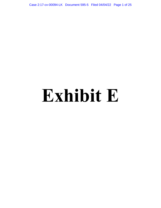Case 2:17-cv-00094-LK Document 595-5 Filed 04/04/22 Page 1 of 25

# **Exhibit E**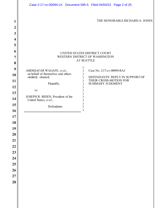|                                                                                                                                                                                          | Case 2:17-cv-00094-LK Document 595-5 Filed 04/04/22 Page 2 of 25                                                                                                                                                                                                                                                                                                                                        |
|------------------------------------------------------------------------------------------------------------------------------------------------------------------------------------------|---------------------------------------------------------------------------------------------------------------------------------------------------------------------------------------------------------------------------------------------------------------------------------------------------------------------------------------------------------------------------------------------------------|
| 1<br>$\boldsymbol{2}$                                                                                                                                                                    | THE HONORABLE RICHARD A. JONES                                                                                                                                                                                                                                                                                                                                                                          |
| 3<br>4<br>5<br>6<br>7<br>8<br>9<br>10<br>11<br>12<br>13<br>14<br>15<br>16<br>17<br>18<br>19<br>$\overline{20}$<br>$\overline{21}$<br>22<br>23<br>24<br>25<br>26<br>$\overline{27}$<br>28 | UNITED STATES DISTRICT COURT<br>WESTERN DISTRICT OF WASHINGTON<br><b>AT SEATTLE</b><br>Case No. 2:17-cv-00094-RAJ<br>ABDIQAFAR WAGAFE, et al.,<br>on behalf of themselves and others<br>DEFENDANTS' REPLY IN SUPPORT OF<br>similarly situated,<br>THEIR CROSS-MOTION FOR<br>Plaintiffs,<br><b>SUMMARY JUDGMENT</b><br>VS.<br>JOSEPH R. BIDEN, President of the<br>United States; et al.,<br>Defendants. |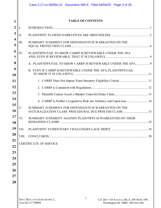|                |                               | Case 2:17-cv-00094-LK Document 595-5 Filed 04/04/22 Page 3 of 25                                                                                           |  |  |
|----------------|-------------------------------|------------------------------------------------------------------------------------------------------------------------------------------------------------|--|--|
|                |                               |                                                                                                                                                            |  |  |
| 1              |                               | <b>TABLE OF CONTENTS</b>                                                                                                                                   |  |  |
| $\overline{2}$ | Ι.                            |                                                                                                                                                            |  |  |
| $\mathbf{3}$   | II.                           |                                                                                                                                                            |  |  |
| 4<br>5         | III.                          | SUMMARY JUDGMENT FOR DEFENDANTS IS WARRANTED ON THE                                                                                                        |  |  |
| 6<br>7         | IV.                           | PLAINTIFFS FAIL TO SHOW CARRP IS REVIEWABLE UNDER THE APA                                                                                                  |  |  |
| 8              |                               | A. PLAINTIFFS FAIL TO SHOW CARRP IS REVIEWABLE UNDER THE APA9                                                                                              |  |  |
| 9<br>10        |                               | B. EVEN IF CARRP IS REVIEWABLE UNDER THE APA, PLAINTIFFS FAIL                                                                                              |  |  |
| 11             |                               |                                                                                                                                                            |  |  |
| 12             |                               |                                                                                                                                                            |  |  |
| 13             |                               |                                                                                                                                                            |  |  |
| 14             |                               | 4. CARRP is Neither a Legislative Rule nor Arbitrary and Capricious.  14                                                                                   |  |  |
| 15<br>16       | V.                            | SUMMARY JUDGMENT FOR DEFENDANTS IS WARRANTED ON THE<br>NATURALIZATION CLASS' PROCEDURAL DUE PROCESS CLAIM.  15                                             |  |  |
| 17<br>18       | VI.                           | SUMMARY JUDGMENT AGAINST PLAINTIFFS IS WARRANTED ON THEIR                                                                                                  |  |  |
| 19             | VII.                          |                                                                                                                                                            |  |  |
| 20             | VIII.                         |                                                                                                                                                            |  |  |
| 21<br>22       | <b>CERTIFICATE OF SERVICE</b> |                                                                                                                                                            |  |  |
| 23             |                               |                                                                                                                                                            |  |  |
| 24             |                               |                                                                                                                                                            |  |  |
| 25             |                               |                                                                                                                                                            |  |  |
| 26             |                               |                                                                                                                                                            |  |  |
| 27             |                               |                                                                                                                                                            |  |  |
| 28             |                               |                                                                                                                                                            |  |  |
|                |                               |                                                                                                                                                            |  |  |
|                |                               | $\mathbf{1}$<br>DEFS' REPLY ON CROSS-SUMM. J.;<br>U.S. DEP'T OF JUSTICE, OIL/A, 450 5th St. NW,<br>Case No. C17-00094<br>Washington DC 20001; 202-616-2186 |  |  |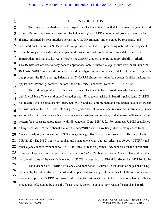#### **I. INTRODUCTION**

The evidence establishes beyond dispute that Defendants are entitled to summary judgment on all claims. Defendants have demonstrated the following: (1) CARRP is an ordered process driven by factfinding, informed by best practices across the U.S. Government, and executed by reasonable and dedicated civil servants; (2) USCIS refers applications for CARRP processing only when an applicant might be subject to a national-security-related ground of inadmissibility or removability under the Immigration and Nationality Act ("INA"); (3) CARRP creates no extra-statutory eligibility criteria— USCIS instructs officers to deny benefit applications only if there is a legally sufficient basis under the INA; (4) CARRP does not discriminate based on religion or national origin, while fully comporting with due process, the INA, and regulations; and (5) CARRP *facilitates* rather than delays decision-making on applications involving potential national security ("NS") concerns. Defs' MSJ 1-22, 39-70.

 These showings alone end this case; even so, Defendants have also shown why CARRP is not only lawful but efficient and critical to addressing NS concerns arising in benefit applications. CARRP has fostered trusting relationships between USCIS and law enforcement and intelligence agencies (which are instrumental to USCIS understanding the significance of national-security-related information); made vetting of applications raising NS concerns more consistent and reliable; and increased efficiency in the system for processing applications with NS concerns. Defs' MSJ 5, 22. For example, USCIS established a triage operation at the National Benefit Center ("NBC") which routinely diverts many cases from CARRP early on, demonstrating USCIS' longstanding efforts to process cases most efficiently. Defs' MSJ 21-22. The NBC's early screening and engagement with joint terrorism task forces ("JTTFs") and other agency record owners allow USCIS to "quickly resolve potential NS concerns for the substantial majority of applications that present such concerns." *Id*. at 22. In other words, CARRP has addressed, if not solved, some of the very deficiencies in USCIS' processing that Plaintiffs allege. Pls' MSJ 10, 15-16.

The evidence of CARRP's efficiency and importance—sourced to hundreds of pages of training documents, the administrative record, and the personal knowledge of numerous USCIS witnesses who routinely apply the CARRP policy—reveals Plaintiffs' attempt to cast CARRP as a compilation of brazen procedures, effectuated by cynical officials and designed to concoct any reason for denying benefit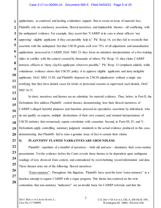#### Case 2:17-cv-00094-LK Document 595-5 Filed 04/04/22 Page 5 of 25

applications, as contrived and lacking evidentiary support. But to create an issue of material fact, Plaintiffs rely on conclusory assertions, flawed narratives, and implausible themes—all conflicting with the undisputed evidence. For example, they assert that "CARRP at its core is about officers 'not approving' eligible applicants if they can possibly help it," Pls' Resp. 14, yet they fail to reconcile that assertion with the undisputed fact that USCIS grants well over 75% of all adjustment and naturalization applications processed in CARRP, Defs' MSJ 23; they focus on mistaken interpretations of a few training slides in conflict with the context created by thousands of others, Pls' Resp. 13; they claim CARRP instructs officers to "deny *eligible* applicants wherever possible," Pls' Resp. 13 (emphasis added), while voluminous evidence shows that USCIS' policy is to approve eligible applicants and deny ineligible applicants, Defs' MSJ 13-20; and Plaintiffs deposed six USCIS adjudicators without a single one testifying that they have denied cases for trivial or pretextual reasons or supervised such denials, Defs' MSJ 14-15.

In short, narratives and themes are no substitute for material evidence. Thus, below, in Part II, the Defendants first address Plaintiffs' central themes, demonstrating how their flawed narratives of CARRP's alleged harmful purposes and functions proceed on speculative assertions by individuals who do not qualify as experts, multiple declarations of their own counsel, and strained interpretations of USCIS statistics that erroneously equate correlation with causation. Second, in Parts III, IV, and V, Defendants apply controlling summary judgment standards to the actual evidence produced in this case, demonstrating that Plaintiffs fail to raise a genuine issue of fact to sustain their claims.

**II. PLAINTIFFS' FLAWED NARRATIVES ARE GROUNDLESS.**

Plaintiffs' repetition of a handful of narratives – both old and new – dominates their cross-motion presentation. Yet the evidence before the Court reveals those themes to be dependent upon ambiguous readings of text, divorced from context, and contradicted by overwhelming record information and data. These themes arise out of the following flawed narratives:

 "Extra-statutory": Throughout this litigation, Plaintiffs have used the term "extra-statutory" in a baseless attempt to equate CARRP with a rogue program. This theme has centered on the twin contentions that non-statutory "indicators" are an invalid basis for CARRP referrals, and that the

2

**1**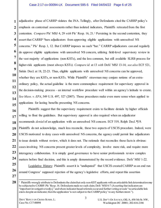**1 2 3 4 5 6 7 8 9 10 11 12 13 14 15** adjudicative phase of CARRP violates the INA. Tellingly, after Defendants cited the CARRP policy's emphasis on contextual assessments rather than isolated indicators, Plaintiffs retreated from the first contention. *Compare* Pls' MSJ 4, 29 *with* Pls' Resp. 16, 21.1 Persisting in the second contention, they assert that CARRP "bars adjudicators from approving eligible applications with unresolved NS concerns." Pls' Resp. 1, 12. But CARRP imposes no such "bar." CARRP adjudicators can and regularly do approve eligible applications with unresolved NS concern, utilizing field-level supervisory review in the vast majority of applications (non-KSTs), and the less common, but still available SLRB process for higher-risk applicants (most always KSTs). *Compare id.* at 13 *with* Defs' MSJ 13-14; *see also* ECF 521, Siskin Decl. at 18, 22-23. Thus, eligible applicants with unresolved NS concerns can be approved, whether they are KSTs, or non-KSTs. While Plaintiffs' strawman may conjure notions of an extraordinary policy, the actual guideline is the more commonplace requirement for supervisory approval in the decision-making process – an internal workflow procedure well within an agency's latitude to create. *See Mass. v. EPA*, 549 U.S. 497, 527 (2007). Those procedures make even more sense when applied to applications for lasting benefits presenting NS concerns.

Plaintiffs suggest that the supervisory requirement exists to facilitate denials by higher officials willing to flout the guidelines. But supervisory approval is also required when an adjudicator recommends *denial* of an application with an unresolved NS concern. ECF 519, Relph Decl. ¶19. Plaintiffs do not acknowledge, much less reconcile, these two aspects of USCIS procedure. Indeed, were USCIS motivated to deny cases with unresolved NS concerns, the agency could permit line adjudicators to issue denials without review, which it does not. The rationale that reconciles these facts is obvious: cases involving NS concerns present greater levels of complexity, involve more risk, and require more interagency collaboration. It is simply good governance to have senior professionals review complex matters before final decision, and this is amply demonstrated by the record evidence. Defs' MSJ 1-22. Legislative History: Plaintiffs assert it is "undisputed" that USCIS created CARRP as an end run around Congress' supposed rejection of the agency's legislative efforts, and repeat this assertion

**27 28**

**16**

**17**

**18**

**19**

**20**

**21**

**22**

**23**

**24**

**25**

l <sup>1</sup> Plaintiffs wrongly attribute to Defendants the claim that only non-KST applicants with an articulable link determination may be subjected to CARRP. Pls' Resp. 16. Defendants made no such claim. Defs' MSJ 6-7 (Asserting that indicators are "important investigative tool[s]," and where indicator-based referrals occur and further vetting reveals "no articulable link exists despite an indicator, then the application 'is not subject to the CARRP policy' to any further extent.").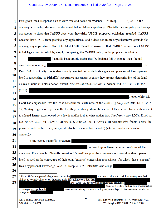#### Case 2:17-cv-00094-LK Document 595-5 Filed 04/04/22 Page 7 of 25

throughout their Response as if it were true and based on evidence. Pls' Resp. 1, 12-13, 23. To the 1 contrary, it is highly disputed, as discussed below. More importantly, Plaintiffs cite no policy or training  $\overline{2}$ 3 documents to show that CARRP does what they claim USCIS' proposed legislation intended. CARRP 4 does not bar USCIS from granting any applications, and it does not create any substantive grounds for 5 denying any applications. See Defs' MSJ 17-20. Plaintiffs' narrative that CARRP circumvents USCIS' 6 failed legislation is belied by simply comparing the CARRP policy to the proposed legislation. 7 Plaintiffs inaccurately claim that Defendants fail to dispute their factual 8 assertions concerning  $Pls'$ 9 Resp. 2-3. In actuality, Defendants simply elected not to dedicate significant portions of their opening 10 brief to responding to Plaintiffs' speculative assertions because they are not determinative of the legal 11 claims at issue in a class-action lawsuit. See Wal-Mart Stores, Inc. v. Dukes, 564 U.S. 338, 360, 367 12  $(2011).$ 13 even while this 14 Court has emphasized that this case concerns the lawfulness of the CARRP policy. See Defs' Ex. 31 at 15, 15

25, 30. Any suggestion by Plaintiffs that they need only show the merits of their legal claims with respect 16 to alleged harms experienced by a few is antithetical to class action law. See Transunion LLC v. Ramirez, 17 No. 20-297, 2021 WL 2599472, at \*10 (U.S. June 25, 2021) ("Article III does not give federal courts the 18 power to order relief to any uninjured plaintiff, class action or not.") (internal marks and citation 19 omitted).<sup>2</sup> 20

In any event, Plaintiffs' argument

is based upon flawed characterizations of the evidence. For example, Plaintiffs assert as "factual" support the arguments of counsel in their opening brief, as well as the conjecture of their own "experts" concerning propositions for which those "experts"

25 lack any personal knowledge. See Pls' Resp. 2, 3, 20. Plaintiffs also allege

 $27$ <sup>2</sup> Plaintiffs' unsupported allegations concerning are also at odds with their burden to prove their claims as to entire classes. For instance, Plaintiffs' reliance on data that 28 , Pls' Resp. 16, directly undermines their claim that

of designating applicants designated

21

22

23

24

26

DEFS' REPLY ON CROSS-SUMM. J.; Case No. C17-00094

U.S. DEP'T OF JUSTICE, OIL/A, 450 5th St. NW. Washington DC 20001; 202-616-2186

for non-evidentiary reasons, a far higher percentage of class members would be

Id. at 2. If USCIS had a class-wide practice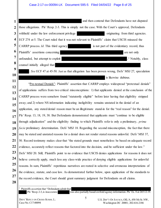# Case 2:17-cv-00094-LK Document 595-5 Filed 04/04/22 Page 8 of 25

| 1              | and then contend that Defendants have not disputed                                                           |  |  |  |
|----------------|--------------------------------------------------------------------------------------------------------------|--|--|--|
| $\overline{2}$ | those allegations. Pls' Resp. 2-3. This is simply not the case. With the Court's approval, Defendants        |  |  |  |
| 3              | withheld under the law enforcement privilege<br>originating from third agencies.                             |  |  |  |
| 4              |                                                                                                              |  |  |  |
| 5              | ECF 274 at 5. The Court ruled that it was not relevant to Plaintiffs' claim that USCIS misused the           |  |  |  |
|                | CARRP process. Id. This third agency<br>is not part of the evidentiary record, thus                          |  |  |  |
| 6              | Plaintiffs' assertions concerning<br>are not only                                                            |  |  |  |
| 7              | unfounded, but attempt to exploit<br>. <sup>3</sup> Notably, class                                           |  |  |  |
| 8              | counsel initially alleged that                                                                               |  |  |  |
| 9              | . See ECF 47 at 45-50. Just as that allegation has been proven wrong, Defs' MSJ 27, speculation              |  |  |  |
| 10             | is likewise dubious.                                                                                         |  |  |  |
| 11             | "Pre-textual Denials": Plaintiffs' assertion that CARRP employs widespread "pretextual denials"              |  |  |  |
| 12             | of applications suffers from two critical misconceptions: 1) that applicants denied at the conclusion of the |  |  |  |
| 13             | CARRP process were somehow found "statutorily eligible" before later having that eligibility stripped        |  |  |  |
| 14             | away; and 2) where NS information indicating ineligibility remains unstated in the denial of an              |  |  |  |
| 15             | application, any stated denial reason must be an illegitimate stand-in for the "real reason" for the denial. |  |  |  |
| 16<br>17       | Pls' Resp. 13, 18, 19, 38. But Defendants demonstrated that applicants must "continue to be eligible         |  |  |  |
| 18             | through adjudication" and the eligibility finding to which Plaintiffs refer is only a preliminary, prima     |  |  |  |
| 19             | facie preliminary determination. Defs' MSJ 18. Regarding the second misconception, the fact that there       |  |  |  |
| 20             | may be stated and unstated reasons for a denial does not render stated reasons unlawful. Defs' MSJ 37,       |  |  |  |
| 21             | 50. Record testimony makes clear that "the stated grounds must nonetheless be based on adequate record       |  |  |  |
|                |                                                                                                              |  |  |  |
| <u>22</u>      | evidence, accurately reflect reasons that factored into the decision, and be sufficient under the law."      |  |  |  |
| 23             | Defs' MSJ 20. Still, Plaintiffs point to no evidence that USCIS denies applications for reasons it does not  |  |  |  |
| 24             | believe correctly apply, much less any class-wide practice of denying eligible applications for unlawful     |  |  |  |
| 25             | reasons. In sum, Plaintiffs' repetitious narratives are rooted in selective and erroneous interpretations of |  |  |  |
| 26             | the evidence, statute, and case law. As demonstrated further below, upon application of the standards to     |  |  |  |
| 27             | the record evidence, the Court should grant summary judgment for Defendants on all claims.                   |  |  |  |
| 28             |                                                                                                              |  |  |  |
|                | Plaintiffs assertion that "Defendants admit that                                                             |  |  |  |

5

Pls' Resp. 2-3, is inaccurate; was also partially based on third agency information. Pls' Ex. 8 at 265:12-19.

U.S. DEP'T OF JUSTICE,OIL/A, 450 5th St. NW, Washington DC 20001; 202-616-2186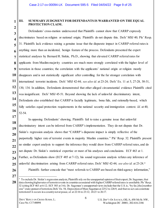**1 2**

**3**

**4**

**5**

**6**

**7**

**8**

**9**

**10**

**11**

**12**

**13**

**14**

**15**

**17**

**18**

**19**

**20**

**21**

**22**

**23**

**24**

**25**

**26**

## **III. SUMMARY JUDGMENT FOR DEFENDANTS IS WARRANTED ON THE EQUAL PROTECTION CLAIM.**

**16** Defendants' cross-motion underscored that Plaintiffs cannot show that CARRP expressly discriminates based on religion or national origin; Plaintiffs do not dispute this. Defs' MSJ 40; Pls' Resp. 31. Plaintiffs lack evidence raising a genuine issue that the disparate impact in CARRP referral rates is anything more than an incidental, benign feature of the process. Defendants presented the expert statistical analyses by Bernard R. Siskin, Ph.D., showing that elevated CARRP referral rates for applicants from Muslim-majority countries are much more strongly correlated with the higher level of terrorism in those countries; the correlation with the applicants' national origin or religion mostly disappears and is not statistically significant after controlling for the far stronger correlation with international terrorist incidents. Defs' MSJ 42-44; *see also id.* at 23-24; Defs' Ex. 11 at 5, 27-28, 30-31, 130, 134. In addition, Defendants demonstrated that other alleged circumstantial evidence Plaintiffs cited was insignificant. Defs' MSJ 45-51. Beyond showing the lack of unlawful discriminatory intent, Defendants also established that CARRP is facially legitimate, bona fide, and rationally-based, which fully satisfies equal protection requirements in the national security and immigration context. *Id.* at 40, 52-54.

In opposing Defendants' showing, Plaintiffs fail to raise a genuine issue that unlawful discriminatory intent can be inferred from CARRP's implementation. They do not dispute that Dr. Siskin's regression analysis shows that "CARRP's disparate impact is simply reflective of the purportedly higher rate of terrorist events in majority Muslim countries." Pls' Resp. 32. Plaintiffs present no similar expert analysis to support the inference they would draw from CARRP referral rates, and do not dispute Dr. Siskin's statistical expertise or most of his analyses and conclusions. ECF 463 at 1. Further, as Defendants show (ECF 485 at 7-12), his sound regression analysis refutes any inference of unlawful discrimination arising from CARRP referral rates. Defs' MSJ 42-44; *see also id.* at 23-24.4 Plaintiffs further concede that "most referrals to CARRP are based on third-agency information,"

**<sup>28</sup>** 4 To exclude Dr. Siskin's regression analysis, Plaintiffs rely on the unsupported opinion of their expert, Dr. Sageman, that data showing higher rates of terrorist events in countries associated with higher CARRP referral rates is unreliable. Pls' Resp. 32 (citing ECF 463 at 6-12; ECF 503 at 3-6). Dr. Sageman's unsupported views include that the U.S. is, "by far, [the] number one" state sponsor of terrorism, Defs' Ex. 54, Deposition of Marc Sageman at 225:2 to 226:9, and that no act can constitute terrorism if it occurs in a country not at peace, *id.* at 22:16 to 23:12; 24:23 to 26:17.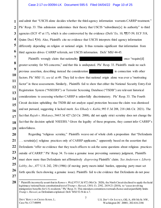#### Case 2:17-cv-00094-LK Document 595-5 Filed 04/04/22 Page 10 of 25

and admit that "USCIS alone decides whether the third-agency information warrants CARRP treatment." Pls' Resp. 33. This admission undermines their theory that USCIS "subordinate[s] its authority" to third agencies (ECF 47 at 17), which is also controverted by the evidence (Defs' Ex. 10, ¶¶57-59; ECF 518, Quinn Decl. ¶34). Also, Plaintiffs cite no evidence that USCIS interprets third agency information differently depending on religion or national origin. It thus remains significant that information from third agencies drives CARRP referrals, not USCIS information. Defs' MSJ 44-45.

Plaintiffs wrongly claim that nationality and the set once "require equivalently" once  $\mathbb{R}$  and  $\mathbb{R}$  and  $\mathbb{R}$  once  $\mathbb{R}$  and  $\mathbb{R}$  are  $\mathbb{R}$  and  $\mathbb{R}$  and  $\mathbb{R}$  are  $\mathbb{R}$  and  $\mathbb{R}$  are  $\mathbb$ greater scrutiny for NS concerns," and that this is undisputed. Pls' Resp. 33. Plaintiffs made no such previous assertion, describing instead the consideration in connection with other factors. Pls' MSJ 11; *see id.* at 49. They fail to show that national origin alone was ever a "motivating factor" in these assessments. Similarly, Plaintiffs fail to show that either the National Security Entry-Exit Registration System ("NSEERS") or Terrorist Screening Database ("TSDB") are relevant historical considerations to assessing whether CARRP is unlawfully discriminatory. Pls' Resp. 33. The Fourth Circuit decision upholding the TSDB did not analyze equal protection because the claim was dismissed and not pursued, suggesting it lacked merit. *See Elhady v. Kable*, 993 F.3d 208, 218 (4th Cir. 2021). The fact that *Rajah v. Mukasey*, 544 F.3d 427 (2d Cir. 2008), did not apply strict scrutiny does not change the fact that the decision upheld NSEERS.<sup>5</sup> Given the legality of these programs, they cannot infer CARRP's unlawfulness.

Regarding "religious scrutiny," Plaintiffs weave out of whole cloth a proposition that "Defendants . . . scrutiniz[e] religious practices only of CARRP applicants," apparently based on the assertion that Defendants "offer no evidence that they teach officers to ask the same questions about religious practices outside of CARRP." Pls' Resp. 34. To raise a genuine issue preventing summary judgment, Plaintiffs must show more than Defendants not affirmatively *disproving* Plaintiffs' claim. *See Anderson v. Liberty Lobby, Inc.*, 477 U.S. 242, 250 (1986) (if moving party meets initial burden, opposing party must set forth specific facts showing a genuine issue). Plaintiffs fail to cite evidence that Defendants do not pose

**1**

l 5 Plaintiffs incorrectly assert that in *Ramos v. Wolf*, 975 F.3d 872 (9th Cir. 2020), the Ninth Circuit declined to apply the facial legitimacy/rational basis constitutional test of *Trump v. Hawaii*, 138 S. Ct. 2392, 2419-21 (2018), to "cases involving immigration benefits for U.S. residents." Pls' Resp. 31. This mistaken contention overreads *Ramos* and unjustifiably limits *Trump v. Hawaii*, as Defendants explained. Defs' MSJ 52-54 & n.7.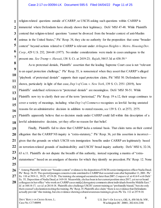**1 2 3 4 5 6 7** religion-related questions outside of CARRP, so USCIS asking such questions within CARRP is immaterial where Defendants have already shown their legitimacy. Defs' MSJ 47-48. While Plaintiffs contend that religion-related questions "cannot be divorced from the broader context of anti-Muslim animus in the United States," Pls' Resp. 34, they cite no authority for the proposition that some "broader context" beyond actions related to CARRP is relevant under *Arlington Heights v. Metro. Housing Dev. Corp.*, 429 U.S. 252, 264-68 (1977). No similar considerations were made in cases analogous to the present one. *See Trump v. Hawaii*, 138 S. Ct. at 2419-23; *Rajah*, 544 F.3d at 438-39.6

As to pretextual denials, Plaintiffs' assertion that the leading Supreme Court case is not "relevant to an equal protection challenge," Pls' Resp. 35, is nonsensical when they assert that CARRP's alleged "playbook of pretextual denials" supports their equal protection claim, Pls' MSJ 50. Defendants have shown, particularly in light of that case, *Dep't of Com. v. New York*, 139 S. Ct. 2551 (2019), how Plaintiffs' undefined references to "pretextual denials" are meaningless. Defs' MSJ 50-51. While Plaintiffs now try to clarify their use of the term "pretextual," Pls' Resp. 19 n.12, their usage continues to cover a variety of meanings, including what *Dep't of Commerce* recognizes as lawful: having unstated reasons for an administrative decision in addition to stated reasons, *see* 139 S. Ct. at 2573, 2575. Plaintiffs apparently believe that *no* decision made under CARRP could fall within this description of a lawful administrative decision, yet they offer no reason for that belief.

Finally, Plaintiffs fail to show that CARRP lacks a rational basis. That claim turns on their central allegation that the CARRP NS inquiry is "extra-statutory," Pls' Resp. 36, yet this assertion is incorrect given that the grounds on which USCIS vets immigration benefits under CARRP are legitimately based on terrorism-related grounds of inadmissibility and USCIS' broad inquiry authority. Defs' MSJ 6, 32-34, 63 n.11. Plaintiffs do not dispute the breadth of this authority, instead repeating a mantra of "extrastatutoriness" based on an amalgam of theories for which they identify no precedent. Pls' Resp. 12. None

**8**

**9**

**10**

**11**

**12**

**13**

**14**

**15**

**16**

**17**

**18**

**19**

**20**

**21**

**22**

**23**

**24**

**<sup>26</sup> 27 28** l <sup>6</sup> Among Plaintiffs' irrelevant "broader context" evidence is the deposition of USCIS senior immigration officer Nadia Daud. Pls' Resp. 34-35. The quoted passages concern events unrelated to CARRP that occurred soon after September 11, 2001. Pls' Ex. 110 at 39:9-11, 39:25, 47:19-20. The training she arranged occurred no later than 2007. *Compare id.* at 41:6-9 *with* Defs' Ex. 55, Deposition of Nadia Daud, at 14:9-10. Meanwhile, she has been in her current position since 2017, yet never heard colleagues in her office "who work on CARRP cases mak[e] derogatory comments about individuals from the Middle East." *Id.* at 168:14-17; *see id.* at 20:14-18. Plaintiffs also challenge USCIS' current training as "profoundly biased," but cite only their counsel's declarationreciting the training. Pls' Resp. 35. Plaintiffs also claim "there is no evidence that Defendants actually provide" this training, but cite evidence showingcultural awareness training is given. Pls' Ex. 112 at 257:9-10.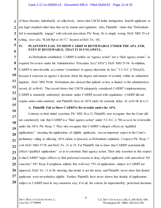of these theories, individually or collectively, shows that USCIS holds immigration benefit applicants to any legal standard other than that set by statute and regulation. Also, Plaintiffs' claim that "Defendants fail to meaningfully engage" with relevant precedent, Pls' Resp. 36, is simply wrong. Defs' MSJ 55 n.8 (citing, *inter alia*, "KAB Rpt at 16-17," located at Defs' Ex. 10).

### **IV. PLAINTIFFS FAIL TO SHOW CARRP IS REVIEWABLE UNDER THE APA AND, EVEN IF REVIEWABLE, THAT IT IS UNLAWFUL.**

As Defendants established, CARRP is neither an "agency action" nor a "final agency action," as required for review under the Administrative Procedure Act ("APA"). Defs' MSJ 55-58. In addition, CARRP is unreviewable as a matter "committed to agency discretion by law,"  $5 \text{ U.S.C.}$   $\frac{6}{3} \frac{701(a)(2)}{20}$ , because it concerns an agency's decision about the degree and manner of scrutiny within its authorized inquiries. Defs' MSJ 59-60. Defendants also showed that judicial review is limited to the administrative record. *Id.* at 60-61. That record shows that USCIS adequately considered CARRP's implementation; CARRP is statutorily authorized; decisions under CARRP accord with regulations; CARRP did not require notice-and-comment; and Plaintiffs have no APA claim for systemic delay. *Id.* at 61-66 & n.11.

# **A. Plaintiffs Fail to Show CARRP is Reviewable under the APA.**

Contrary to their initial assertion, Pls' MSJ 26 n.12, Plaintiffs now recognize that the Court did not conclusively rule that CARRP is a "final agency action" under 5 U.S.C. § 704 so as to be reviewable under the APA. Pls' Resp. 7. They also recognize that CARRP's alleged effects on "qualified applications," meaning the applications of eligible applicants, was an important aspect to the Court's preliminary ruling in allowing APA claims to proceed, as Defendants explained. *Compare* Pls' Resp. 7 with Defs' MSJ 57-58 and Defs' Ex. 31 at 19. Yet Plaintiffs fail to show that CARRP systematically affects "qualified applications" so as to constitute final agency action. Their only assertion in this respect is that CARRP "urges officers to find pretextual reasons to deny *eligible* applicants with unresolved NS concerns." Pls' Resp. 8 (emphasis added). But well over 75% of applications subject to CARRP are approved, Defs' Ex. 11 at 50, showing that denial is not the norm, and Plaintiffs never show that denied applicants were nevertheless eligible. Further, Plaintiffs have never shown that denials of applications subject to CARRP meet in any consistent way, if at all, the criteria for impermissibly pretextual decisions

**1**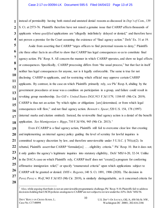instead of permissibly having both stated and unstated denial reasons as discussed in *Dep't of Com.*, 139 S. Ct. at 2573-76. Plaintiffs therefore have not raised a genuine issue that CARRP affects thousands of applicants whose *qualified* applications are "allegedly indefinitely delayed or denied," and therefore have not proven a premise for the Court assuming the existence of "final agency action." Defs' Ex. 31 at 19.

Aside from asserting that CARRP "urges officers to find pretextual reasons to deny," Plaintiffs cite three other facts in an effort to show that CARRP has legal consequences so as to constitute final agency action. Pls' Resp. 8. All concern the manner in which CARRP operates, and show no legal effects or consequences. Specifically, CARRP processing differs from "the usual process," but that fact in itself neither has legal consequences for anyone, nor is it legally enforceable. The same is true for not disclosing CARRP to applicants, and for restricting which official may approve certain CARRP applicants. By contrast, in the case on which Plaintiffs primarily rely, *see* Pls' Resp. 8, abiding by the government procedures at issue was a condition on participation in a group, and failure could result in revoking group membership. *See Gill v. United States DOJ*, 913 F.3d 1179, 1184-85 (9th Cir. 2019). CARRP is thus not an action "by which rights or obligations [are] determined, or from which legal consequences will flow," and not final agency action. *Bennett v. Spear*, 520 U.S. 154, 178 (1997) (internal marks and citation omitted). Instead, the reviewable final agency action is a denial of the benefit application. *See Mamigonian v. Biggs*, 710 F.3d 936, 945 (9th Cir. 2013). <sup>7</sup>

Even if CARRP is a final agency action, Plaintiffs still fail to overcome clear law that creating and implementing an internal agency policy guiding the level of scrutiny for lawful inquiries is committed to agency discretion by law, and therefore unreviewable under 5 U.S.C.  $\S 701(a)(2)$ . In rebuttal, Plaintiffs assert that CARRP "formulat[es] . . . eligibility criteria." Pls' Resp. 10. But it does not; it only guides the agency's legitimate inquiries into statutory eligibility, Defs' MSJ 6-20, 32-34. Unlike in the DACA case on which Plaintiffs rely, CARRP itself does not "create[] a program for conferring affirmative immigration relief," or specify "enumerated criteria" upon which applications subject to CARRP will be granted or denied. *DHS v. Regents*, 140 S. Ct. 1891, 1906 (2020). The decision in *Perez Perez v. Wolf*, 943 F.3d 853 (9th Cir. 2019), is similarly distinguishable, as it concerned criteria for

10

**1**

**2**

**3**

**4**

**5**

**6**

**7**

**8**

**9**

<sup>7</sup> Also, while arguing that theirs is not an unreviewable programmatic challenge, Pls' Resp. 9-10, Plaintiffs fail to address decisions holding that USCIS policies analogous to CARRP are not subject to review under the APA. Defs' MSJ 56.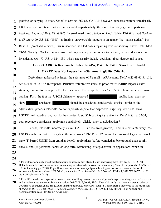**1** granting or denying U-visas. *See id.* at 859-60, 862-83. CARRP, however, concerns matters "traditionally left to agency discretion" that are unreviewable—particularly the level of scrutiny given to particular inquiries. *Regents*, 140 S. Ct. at 1905 (internal marks and citation omitted). While Plaintiffs read *Heckler v. Chaney*, 470 U.S. 821 (1985), as limiting unreviewable matters to an agency "not taking action," Pls' Resp. 11 (emphasis omitted), this is incorrect, as cited cases regarding level-of-scrutiny show. Defs' MSJ 59-60. Notably, *Heckler* encompassed not only agency decisions not to enforce, but also decisions not to investigate, *see* 470 U.S. at 824, 838, which necessarily include decisions about degree and scope.

## **B. Even if CARRP is Reviewable Under the APA, Plaintiffs Fail to Show It is Unlawful.**

# **1. CARRP Does Not Impose Extra-Statutory Eligibility Criteria.**

Defendants addressed at length the substance of Plaintiffs' APA claims. Defs' MSJ 61-66 & n.11; *see also id.* at 32-37. <sup>8</sup> In response, Plaintiffs refer to five items as proof that "CARRP imposes extrastatutory criteria to the approval" of applications. Pls' Resp. 12; *see id.* at 12-17. These five items prove nothing. First, the fact that USCIS ultimately approved applications does not

show applicants should be considered conclusively eligible earlier in the adjudication process. Plaintiffs do not expressly dispute that dispositive eligibility decisions await USCIS' final adjudication, nor do they contest USCIS' broad inquiry authority, Defs' MSJ 18, 32-34; both preclude considering applicants conclusively eligible prior to adjudication.<sup>9</sup>

Second, Plaintiffs incorrectly claim "CARRP's rules are legislative," and thus extra-statutory, "as USCIS sought but failed to legislate the same rules." Pls' Resp. 12. While the proposed legislation would have (1) barred USCIS from granting benefit applications before completing background and security checks, and (2) permitted denial or long-term withholding of adjudication of applications when an

 $\overline{a}$  $8$  Plaintiffs erroneously assert that Defendants concede certain claims by not addressing them. Pls' Resp. 1, 6, 12. Yet Defendants addressed the issues cross-referencing an extended discussion further refuting Plaintiffs' arguments. Defs' MSJ 63 n.11 (referencing pp. 32-37). Regardless, omissions in summary judgment briefing are not concessions and do not alter summary judgment standards. LCR 7(b)(2); *Amica Ins. Co. v. Scherdnik*, No. 3:20-cv-05561-RAJ, 2021 WL 807675, at \*2 (W.D. Wash. Mar. 3, 2021).

 $9$  Plaintiffs also do not dispute that potential inadmissibility on terrorism-related grounds implicates the good moral character and attachment requirements for naturalization. Defs' MSJ 2, 30-31, 53-54. They claim only that there is a presumption of good moral character, citing a regulation and their purported expert. Pls' Resp. 4. Their expert is incorrect, as the regulation shows. *See* 8 C.F.R. § 316.10(a)(1); *see also Berenyi v. Dist. Dir.*, 385 U.S. 630, 634, 637 (1967). Their reliance on a denaturalization case, Pls' Resp. 4 n.4, is inapt.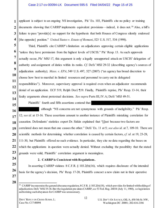#### Case 2:17-cv-00094-LK Document 595-5 Filed 04/04/22 Page 15 of 25

applicant is subject to an ongoing NS investigation, Pls' Ex. 103, Plaintiffs cite no policy or training documents showing that CARRP implements equivalent provisions—indeed, it does not.<sup>10</sup> Also, a bill's failure to pass "provide<sup>[5]</sup> no support for the hypothesis that both Houses of Congress silently endorsed [the opposite] position." *United States v. Estate of Romani*, 523 U.S. 517, 534 (1998).

Third, Plaintiffs cite CARRP's limitation on adjudicators approving certain eligible applications "unless they have permission from the highest levels of USCIS." Pls' Resp. 13. As such approvals actually occur, Pls' MSJ 17, this argument is only a legally unsupported attack on USCIS' delegation of authority and assignment of duties within its ranks. *Cf.* Defs' MSJ 29-32 (describing agency's sources of adjudication authority); *Mass. v. EPA*, 549 U.S. 497, 527 (2007) ("an agency has broad discretion to choose how best to marshal its limited resources and personnel to carry out its delegated responsibilities"). Moreover, supervisory approval is required even when an adjudicator recommends denial of an application. ECF 519, Relph Decl. ¶19. Finally, Plaintiffs reprise, Pls' Resp. 13-14, their faulty arguments about pretextual decisions. *See supra* Parts III, IV.A; Defs' MSJ 49-51.

Plaintiffs' fourth and fifth assertions contend that

**16 17** although "NS concerns are not synonymous with grounds of ineligibility." Pls' Resp. 12; *see id.* at 15-16. These assertions amount to another instance of Plaintiffs mistaking correlation for causation. Defendants' statistics expert Dr. Siskin explained that "[j]ust because two factors are correlated does not mean that one causes the other." Defs' Ex. 11 at 5; *see also id.* at 7, 109-10. There are scientific methods for determining whether correlation is caused by certain factors, *cf. id.* at 19, 23-28, 111-30, but Plaintiffs offered no such evidence. In particular, they cite no data regarding the bases on which the applications in question were actually denied. Without excluding the possibility that the stated grounds were valid, Plaintiffs' correlation argument is meaningless.

**24 25**

**1**

**2**

**3**

**4**

**5**

**6**

**7**

**8**

**9**

**10**

**11**

**12**

**13**

**14**

**15**

**18**

**19**

**20**

**21**

**22**

**23**

#### **2. CARRP is Consistent with Regulations.**

In asserting CARRP violates 8 C.F.R. § 103.2(b)(16), which requires disclosure of the intended basis for the agency's decision, Pls' Resp. 17-20, Plaintiffs concoct a new claim not in their operative

**28**

**26**

l <sup>10</sup> CARRP incorporates the general abeyance regulation, 8 C.F.R. § 103.2(b)(18), which provides for limited withholding of adjudication. Defs' MSJ 35-36. But the regulation pre-dates CARRP, *see* 53 Fed. Reg. 26034 (July 11, 1988), so legislation authorizing such abeyances for CARRP was unnecessary.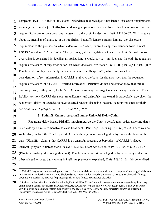**16** complaint, ECF 47. It fails in any event. Defendants acknowledged their limited disclosure requirements, including those under § 103.2(b)(16), in denying applications, and explained that this regulation does not require disclosure of considerations tangential to the basis for decision. Defs' MSJ 36-37, 58. In arguing about the meaning of language in the regulation, Plaintiffs ignore portions limiting the disclosure requirement to the grounds on which a decision is "based," while turning their blinders toward what USCIS "considered." *Id.* at 17-18. Clearly, though, if the regulation intended that USCIS must disclose everything it considered in deciding an application, it would say so—but does not. Instead, the regulation requires disclosure of only information on which decisions are "based." 8 C.F.R. § 103.2(b)(16)(i), (ii).<sup>11</sup> Plaintiffs also replay their faulty pretext argument, Pls' Resp. 18-20, which assumes that USCIS' consideration of *any* information in CARRP is always the basis for decision such that the regulation requires disclosure of all CARRP-related information. Plaintiffs do not and cannot show that this is uniformly true, as they must, Defs' MSJ 38, even assuming that might occur in a single instance. Their inability to show CARRP decisions are uniformly and unlawfully pretextual is particularly true given the recognized ability of agencies to have unstated reasons (including national security reasons) for their decisions. *See Dep't of Com.*, 139 S. Ct. at 2573, 2575.12

**1**

**2**

**3**

**4**

**5**

**6**

**7**

**8**

**9**

**10**

**11**

**12**

**13**

**14**

**15**

**17**

**18**

**19**

**20**

**21**

**22**

**23**

**24**

**25**

#### **3. Plaintiffs Cannot Assert a Blanket Unlawful Delay Claim.**

Regarding delay issues, Plaintiffs mischaracterize the Court's certification order, asserting that it ruled a delay claim is "amenable to class treatment." Pls' Resp. 22 (citing ECF 69, at 25). There was no such ruling; in fact, the Court rejected Defendants' argument that alleged delay was at the heart of the case: "Plaintiffs' claim is that CARRP is an unlawful program. A byproduct of CARRP's alleged unlawful program is unreasonable delays." ECF 69, at 25; *see also id.* at 19; ECF 58, at 8, 23, 26-27 (Plaintiffs similarly describing their suit). Plaintiffs now assert that alleged delay is not a byproduct of other alleged wrongs, but a wrong in itself. As previously explained, Defs' MSJ 64-66, this generalized

**<sup>26</sup> 27**  $\overline{a}$ <sup>11</sup> Plaintiffs' argument, in the analogous context of prosecutorial discretion, would appear to require all uncharged violations and related investigative material to be disclosed (even investigative material unnecessary to sustain a charged offense), opening to question the motives for pursuing only lesser offenses or unrelated violations.

**<sup>28</sup>** <sup>12</sup> Judicial review of a final denial is available, Defs' MSJ 30, 32, and in such proceedings an unsuccessful applicant may claim that an agency decision is unlawfully pretextual. Contrary to Plaintiffs' view, Pls' Resp. 5, this is true even where USCIS denies adjustment of status purportedly in the exercise of discretion, because discretion cannot be exercised unlawfully. *Cf. Rivera-Peraza v. Holder*, 684 F.3d 906, 909 (9th Cir. 2012).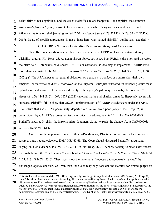delay claim is not cognizable, and the cases Plaintiffs cite are inapposite. One explains that common issues *aside from delay* may warrant class treatment, even while "varying times of delay . . . could influence the type of relief [to be] grant[ed]." *Nio v. United States DHS*, 323 F.R.D. 28, 32 n.2 (D.D.C. 2017). Delay of specific applications is not at issue here, with named plaintiffs' applications decided.<sup>13</sup>

**4. CARRP is Neither a Legislative Rule nor Arbitrary and Capricious.**

Plaintiffs' notice-and-comment claim turns on whether CARRP implements extra-statutory eligibility criteria. Pls' Resp. 23. As again shown above, *see supra* Part IV.B.1, it does not, and therefore the claim fails. Defendants have shown USCIS' considerations in deciding to implement CARRP were more than adequate. Defs' MSJ 61-63; *see also FCC v. Prometheus Radio Proj.*, 141 S. Ct. 1151, 1160 (2021) ("[t]he APA imposes no general obligation on agencies to conduct or commission their own empirical or statistical studies"). Moreover, as the Supreme Court just reiterated, "a reviewing court must uphold even a decision of less than ideal clarity if the agency's path may reasonably be discerned." *Garland v. Dai*, 141 S. Ct. 1669, 1679 (2021) (internal marks and citation omitted). Especially given this standard, Plaintiffs fail to show that USCIS' implementation of CARRP was deficient under the APA. Their claim that CARRP "impermissibly departed *sub silentio* from prior policy," Pls' Resp. 25, is contradicted by CARRP's express rescission of prior procedures, *see* Defs' Ex. 1 at CAR000002-3. Plaintiffs incorrectly claim the implementing document did not explain the change. *Id.* at CAR000003; *see also* Defs' MSJ 61-62.

Aside from the unpersuasiveness of their APA showing, Plaintiffs fail to remedy their improper resort to extra-record evidence. Defs' MSJ 60-61. The Court should disregard Plaintiffs' arguments relying on such evidence. Pls' MSJ 38-39, 41-43; Pls' Resp. 26-27. A party seeking to place extra-record materials before the Court bears a "heavy burden." *Fence Creek Cattle Co. v. U.S. Forest Serv.*, 602 F.3d 1125, 1131 (9th Cir. 2010). They must show the material is "necessary to adequately review" the challenged agency decision. *Id.* Even then, the Court may only consider the material for limited purposes;

**1**

**2**

**3**

**4**

**5**

**6**

**7**

**8**

**9**

**10**

**11**

**12**

**13**

**14**

**15**

**16**

**17**

**18**

**19**

**20**

**21**

**22**

**23**

**24**

**25**

**26**

l

**<sup>27</sup> 28** <sup>13</sup> While Plaintiffs also assert that CARRP cases generally take longer to adjudicate than non-CARRP cases, Pls' Resp. 21, they fail to show that another process for vetting NS concerns would be any faster. Nor do they show that applications with NS concerns would have the same time track and outcome as applications without those concerns if handled on the same track, outside CARRP. As for the assertion regarding 6,000 applications having been "swiftly adjudicated" in response to the present lawsuit, statistics expert Dr. Siskin determined that "there is no statistical evidence that USCIS shortened the adjudication processing time as a result of th[is] lawsuit." Defs' Ex. 56 at 52 (Siskin responsive report); *see also id.* at 52-55.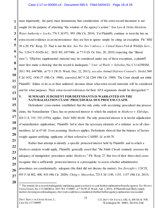**1 2 3 4 5 6 7 8 9 10 11 12 13** most importantly, the party must demonstrate that consideration of the extra-record document is not sought for the purpose of attacking "the wisdom of the agency's action." *San Luis & Delta-Mendota Water Authority v. Locke*, 776 F.3d 971, 993 (9th Cir. 2014). Yet Plaintiffs continue to treat the bar on extra-record evidence as an inconvenience they are free to ignore simply by citing an exception. Pls' MSJ 38 n.20; Pls' Resp. 25. That is not the law. *See Nw. Env't Advocs. v. United States Fish & Wildlife Serv.*, No. 3:18-CV-01420-AC, 2019 WL 6977406, at \*7-9 (D. Or. Dec. 20, 2019) (rejecting this "liberal view"). "[B]efore supplemental material may be considered under any of these exceptions, a plaintiff must first make a showing that the record is inadequate." *Univ. of Wash. v. Sebelius*, No. C11-625RSM, 2011 WL 6447806, at \*2-3 (W.D. Wash. Dec. 22, 2011); *see also Animal Defense Counsel v. Hodel*, 840 F.2d 1432, 1436-37 (9th Cir. 1988), *amended*, 867 F.2d 1244 (9th Cir. 1989). The Court should not abide Plaintiffs' failure to do so or their unilateral decision about what extra-record materials will be considered and for what purposes. Their extra-record references for their APA arguments should be disregarded.<sup>14</sup>

# **14**

**15**

**16**

**17**

**18**

**19**

**20**

**21**

**22**

**23**

**24**

**25**

**26**

**27**

# **V. SUMMARY JUDGMENT FOR DEFENDANTS IS WARRANTED ON THE NATURALIZATION CLASS' PROCEDURAL DUE PROCESS CLAIM.**

Defendants' cross-motion established that the only entity with an existing procedural due process claim, the Naturalization Class, has no protected interest to which the analysis in *Mathews v. Eldridge*, 424 U.S. 319, 335 (1976), applies. Defs' MSJ 66-68. The only protected interest is in lawful adjudication of naturalization applications; Plaintiffs fail to show the necessary elements of a violation as to all class members. *Id.* at 67-68. Even assuming *Mathews* applies, Defendants showed that the balance of factors weighs against notifying applicants of their referral to CARRP. *Id.* at 68-70.

Rather than attempt to identify a specific protected interest held by Plaintiffs and to which a *Mathews* analysis would apply, Plaintiffs generally assert that "the Ninth Circuit routinely assesses the adequacy of immigration procedures under *Mathews*." Pls' Resp. 27. But two of their three cited cases recognize that a sufficiently protected interest is a prerequisite to assess whether administrative procedures are constitutionally adequate (the third did not discuss the matter). *See Zerezghi v. USCIS*, 955 F.3d 802, 808, 810 (9th Cir. 2020); *Ching v. Mayorkas*, 725 F.3d 1149, 1155, 1157 (9th Cir. 2013).

l 14 The remedy for a record inadequately explaining agency action is to seek further explanation from the agency. *See Moore v. United States*, No. C13-2063RAJ, 2015 WL 1510007, at \*10 (W.D. Wash. Apr. 1, 2015). If Plaintiffs had filed a timely motion showing recordinadequacy, the Court could have considered whether further agency explanation was needed.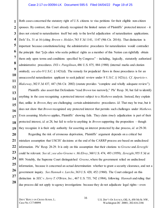#### Case 2:17-cv-00094-LK Document 595-5 Filed 04/04/22 Page 19 of 25

Both cases concerned the statutory right of U.S. citizens to visa petitions for their eligible non-citizen spouses. By contrast, this Court already recognized the limited nature of Plaintiffs' protected interest – it does not extend to naturalization itself but only to the lawful adjudication of naturalization applications. Defs' Ex. 31 at 16 (citing *Brown v. Holder*, 763 F.3d 1141, 1147 (9th Cir. 2014)). That distinction is important because constitutionalizing the administrative procedures for naturalization would contradict the principle that "[a]n alien who seeks political rights as a member of this Nation can rightfully obtain them only upon terms and conditions specified by Congress" – including, logically, statutorily authorized administrative procedures. *INS v. Pangilinan*, 486 U.S. 875, 884 (1988) (internal marks and citation omitted); *see also* 8 U.S.C. § 1421(d). The remedy for prejudicial flaws in those procedures is for an unsuccessful naturalization applicant to seek judicial review under 8 U.S.C. § 1421(c). *Cf. Aparicio v. Blakeway*, 302 F.3d 437, 447 (5th Cir. 2002) (statute provides "complete and wholly adequate review").

Plaintiffs also assert that Defendants "read *Brown* too narrowly," Pls' Resp. 30, but fail to identify anything in the case recognizing a protected interest subject to a *Mathews* analysis. Instead, they explain that, unlike in *Brown*, they are challenging certain administrative procedures. *Id.* That may be true, but it does not show that *Brown* recognized any protected interest that permits such challenges under *Mathews*. Even assuming *Mathews* applies, Plaintiffs' showing fails. They claim *timely* adjudication is part of their protected interest, *id.* at 28, but fail to refer to anything in *Brown* supporting the proposition – though they recognize it is their only authority for asserting an interest protected by due process, *id.* at 29-30.

**20 21 22 23 24 25 26 27 28** Regarding the risk of erroneous deprivation, Plaintiffs' argument depends on a critical but mistaken assumption that USCIS' decisions at the end of the CARRP process are based on undisclosed information. Pls' Resp. 28-29. It is only on this assumption that their citations to *Greene* and *Zerezghi*  could be relevant. *See id.*; *see also Greene v. McElroy*, 360 U.S. 474, 493 (1959); *Zerezghi*, 955 F.3d at 809. Notably, the Supreme Court distinguished *Greene*, where the government relied on undisclosed information, because it concerned an actual determination whether to grant a security clearance, and not a government inquiry. *See Hannah v. Larche*, 363 U.S. 420, 452 (1960). The Court enlarged on this distinction in *SEC v. Jerry T. O'Brien, Inc.*, 467 U.S. 735, 742 (1984), following *Hannah* and ruling that due process did not apply to agency investigations because they do not adjudicate legal rights—even

DEFS'REPLY ON CROSS-SUMM.J.; Case No. C17-00094

**1**

**2**

**3**

**4**

**5**

**6**

**7**

**8**

**9**

**10**

**11**

**12**

**13**

**14**

**15**

**16**

**17**

**18**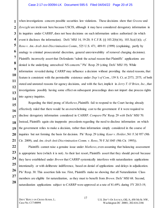#### Case 2:17-cv-00094-LK Document 595-5 Filed 04/04/22 Page 20 of 25

when investigations concern possible securities law violations. These decisions show that *Greene* and *Zerezghi* are irrelevant here because USCIS, although it may have considered derogatory information in its inquiries under CARRP, does not base decisions on such information unless authorized (in which event it discloses the information). Defs' MSJ 14, 19-20; 8 C.F.R. §§ 103.2(b)(16), 103.3(a)(1)(i); *cf. Reno v. Am.-Arab Anti-Discrimination Comm*., 525 U.S. 471, 489-91 (1999) (explaining, partly by analogy to criminal prosecutorial discretion, general unreviewability of removal charging decisions). Plaintiffs incorrectly assert that Defendants "admit the actual reason that Plaintiffs' applications are denied is the underlying unresolved NS concern." Pls' Resp. 29 (citing Defs' MSJ 19). While information revealed during CARRP may influence a decision without providing the stated reasons, that feature is consistent with the permissible existence under *Dep't of Com.*, 139 S. Ct. at 2573, 2575, of both stated and unstated reasons for agency decisions, and with the fact, implicit in *Jerry T. O'Brien, Inc.*, that investigations possibly having some effect on subsequent proceedings does not import due process rights into agency inquiries.

Regarding the third prong of *Mathews*, Plaintiffs fail to respond to the Court having already effectively ruled that there would be an overwhelming cost to the government if it were required to disclose derogatory information considered in CARRP. *Compare* Pls' Resp. 29 *with* Defs' MSJ 70. Instead, Plaintiffs again cite inapposite precedents regarding the need to disclose information on which the government relies to make a decision, rather than information simply considered in the course of inquiries but not forming the basis for decision. Pls' Resp. 29 (citing *Kaur v. Holder*, 561 F.3d 957 (9th Cir. 2009), and *Am.-Arab Anti-Discrimination Comm. v. Reno*, 70 F.3d 1045 (9th Cir. 1995)).

**28** Plaintiffs cannot raise a genuine issue under *Mathews*, even assuming that balancing assessment is appropriate here (which it is not). As their last resort, Plaintiffs assert that they should prevail because they have established under *Brown* that CARRP systemically interferes with naturalization applications intentionally or with deliberate indifference, based on denial of applications and delays in adjudication. Pls' Resp. 30. This assertion fails too. First, Plaintiffs make no showing that all Naturalization Class members are eligible for naturalization, as they must to benefit from *Brown*. Defs' MSJ 68. Second, naturalization applications subject to CARRP were approved at a rate of 81.69% during FY 2013-19,

**1**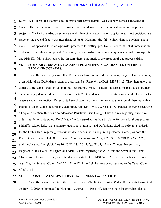Defs' Ex. 11 at 50, and Plaintiffs fail to prove that any individual was wrongly denied naturalization. CARRP therefore cannot be said to result in systemic denials. Third, while naturalization applications subject to CARRP are adjudicated more slowly than other naturalization applications, most decisions are made by the second fiscal year after filing, *id.* at 58. Plaintiffs also fail to show there is anything about CARRP – as opposed to other legitimate processes for vetting possible NS concerns – that unreasonably prolongs the adjudications period. Moreover, the reasonableness of any delay is necessarily case-specific, and Plaintiffs fail to show otherwise. In sum, there is no merit to the procedural due process claim.

# **VI. SUMMARY JUDGMENT AGAINST PLAINTIFFS IS WARRANTED ON THEIR REMAINING CLAIMS.**

Plaintiffs incorrectly assert that Defendants have not moved for summary judgment on all claims, even while citing Defendants' express assertion. Pls' Resp. 6; *see* Defs' MSJ 38 n.3. They then ignore or dismiss Defendants' analyses as to all but four claims. While Plaintiffs' failure to respond does not alter the summary judgment standards, *see supra* note 7, Defendants meet those standards on all claims for the reasons set in their motion. Defendants have shown they merit summary judgment on all theories within Plaintiffs' Sixth Claim, regarding equal protection. Defs' MSJ 39, 45 n.6. Defendants' showing regarding all equal protection theories also addressed Plaintiffs' First through Third Claims regarding executive orders, as Defendants stated. Defs' MSJ 45 n.6. Regarding the Fourth Claim for procedural due process, Plaintiffs acknowledge that summary judgment is at issue, and Defendants cited the relevant standards for the Fifth Claim, regarding substantive due process, which require a protected interest, as does the Fourth Claim. Defs' MSJ 38 n.3 (citing *Hotop v. City of San Jose*, 982 F.3d 710, 718 (9th Cir. 2020), *petition for cert. filed* (U.S. June 16, 2021) (No. 20-1755)). Finally, Plaintiffs note that summary judgment is at issue on the Eighth and Ninth Claims regarding the APA, and the Seventh and Tenth Claims are subsumed therein, as Defendants asserted. Defs' MSJ 66 n.12. The Court indicated as much regarding the Seventh Claim, Defs' Ex. 31 at 17-18, and similar reasoning pertains to the Tenth Claim, *cf. id.* at 14.

# **27**

**28**

**1**

**2**

**3**

**4**

**5**

**6**

**7**

**8**

**9**

**10**

**11**

**12**

**13**

**14**

**15**

**16**

**17**

**18**

**19**

**20**

**21**

**22**

**23**

**24**

**25**

**26**

# **VII. PLAINTIFFS' EVIDENTIARY CHALLENGES LACK MERIT.**

Plaintiffs "move to strike…the rebuttal report of Kelli Ann Burriesci" that Defendants transmitted on July 10, 2020 in "rebuttal" to Plaintiffs' experts. Pls' Resp. 40. Ignoring both innumerable cites to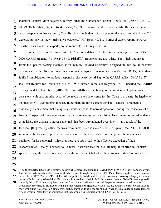**2** Plaintiffs' experts Marc Sageman, Jeffrey Danik and Christopher Burbank (Defs' Ex. 10 ¶¶7-11, 14, 19, 20, 29, 31-32, 34-35, 37, 41, 44, 49, 50-52, 57, 59, 61, 65-67), and the fact that Ms. Burriesci's entire report responds to these experts, Plaintiffs claim Defendants did not present the report to rebut Plaintiffs' experts, but only as "new, affirmative evidence." Pls' Resp. 40. The Burriesci expert report, however, clearly rebuts Plaintiffs' experts, so the request to strike is groundless.

Similarly, Plaintiffs "move to strike" certain exhibits of Defendants containing portions of the 2020 CARRP training. Pls' Resp. 38-40. Plaintiffs' arguments are unavailing. First, their attempt to frame the updated training modules as an untimely "revised disclosure" designed "to add" to Defendants' "advantage" in this litigation is as meritless as it is myopic. Pursuant to Plaintiffs' own RFPs, Defendants fulfilled an obligation to produce responsive discovery pertaining to the CARRP policy. Defs' Ex. 57, Pls' First Request for Production, at Nos. 4-9. <sup>15</sup> Further, in the last six years, USCIS updated the CARRP training modules three times (2015, 2017, and 2020) and the timing of the most recent update was consistent with past practice. And, of course, it makes little sense for this Court to evaluate the legality of an outdated CARRP training module, rather than the most current version. Plaintiffs' argument is essentially a contention that the agency should suspend its normal operations during the pendency of a lawsuit if aspects of those operations are disadvantageous to their claims. Even more, as record evidence establishes, the training is never static and "has been strengthened over time . . . as a result of the feedback [the] training office receives from numerous channels." ECF 518, Quinn Decl. ¶41. The 2020 version of the training represents a continuation of the agency's effort to improve the resources it publishes for its personnel—which, as here, are often vital to the effective execution of their responsibilities. Finally, contrary to Plaintiffs' assertion that the 2020 training is an effort to "sanitize" specific slides, the update is consistent with core content but alters the curriculum structure and adds

l

<sup>&</sup>lt;sup>15</sup> With respect to timeliness, Plaintiffs' assertion that discovery closed on November 29, 2019 is misleading and irrelevant. Indeed, the parties continued certain aspects of discovery through the spring of 2021. Plaintiffs also updated their disclosures in October of 2020. *See* Defs' Ex. 59, Pls' 4th Supp. Discls. But the cutoff date for document discovery is largely irrelevant because Defendants produced the 2020 trainings in accord with their Rule 26 duty to supplement. Plaintiffs were apprised in the early fall of 2020 that an updated version of the training had been issued and the parties communicated on several occasions concerning its production with Plaintiffs voicing noobjection, *see* Defs' Ex. 60, counsel's email to Plaintiffs, and they brought no related motion before this court, as they had done in the fall of 2020 when they moved to compel additional discovery from Defendants after claiming that they would be prejudiced without it. *See* ECF 424 at 2.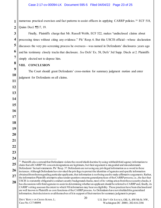**1 2** numerous practical exercises and fact patterns to assist officers in applying CARRP policies. <sup>16</sup> ECF 518, Quinn Decl. ¶¶17, 19.

Finally, Plaintiffs charge that Mr. Russell Webb, ECF 522, makes "undisclosed claims about processing times without citing any evidence." Pls' Resp. 6. But this USCIS official—whose declaration discusses the very pre-screening process he oversees—was named in Defendants' disclosures years ago and his testimony closely tracks that disclosure. *See* Defs' Ex. 58, Defs' 3rd Supp. Discls at 2. Plaintiffs simply elected not to depose him.

### **VIII. CONCLUSION**

**3**

**4**

**5**

**6**

**7**

**8**

**9**

**10**

**11**

**12**

**13**

**14**

**15**

**16**

**17**

**18**

**19**

**20**

**21**

**22**

**23**

**24**

 The Court should grant Defendants' cross-motion for summary judgment motion and enter judgment for Defendants on all claims.

information, their decision to avail themselves of it in support of their motion for summary judgment is proper.

**<sup>25</sup> 26 27 28**  $\overline{a}$ <sup>16</sup> Plaintiffs also contend that Defendants violate the sword/shield doctrine by using withheld third-agency information to claim that all CARRP NS concern designations are legitimate, but their argument is misguided and misunderstands Defendants' factual statements. Pls' Resp. 37. Defendants are not using any privileged information as a sword in these instances. Although Defendants have invoked the privilege to protect the identities of agencies and specific information obtained from them regarding particular applicants, that information is not being used to make affirmative arguments. Rather, the information Plaintiffs attempt to place under question concerns general practices of the CARRP process, i.e., the fact that USCIS is statutorily obligated to conduct security background checks, most of its vetting arises from those security checks, it has discussions with third agencies to assist in determining whether an applicant should be referred to CARRP and, finally, its CARRP vetting assesses the extent to which NS information may bear on eligibility. These practices have been disclosed and are well known to Plaintiffs as core functions of the CARRP process. As Defendants have not shielded this generalized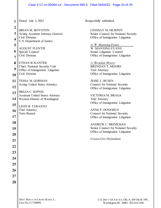#### Case 2:17-cv-00094-LK Document 595-5 Filed 04/04/22 Page 24 of 25

| $\overline{2}$  |                    |
|-----------------|--------------------|
| 3               | <b>BRL</b><br>Acti |
| 4               | Civil<br>U.S.      |
| 5               |                    |
| 6               | <b>AUC</b><br>Spec |
| $\overline{7}$  | Civil              |
| 8               | <b>ETH</b>         |
| 9               | Chie<br>Offic      |
| 10              | Civil              |
| 11              | <b>TES</b>         |
| 12              | Acti               |
| 13              | <b>BRL</b>         |
| 14              | Assi<br>Wes        |
| 15              | LEO                |
| 16              | Trial<br>Torts     |
| 17              |                    |
| 18              |                    |
| 19              |                    |
| $\overline{20}$ |                    |
| 21              |                    |
|                 |                    |
|                 |                    |
|                 |                    |
| 25              |                    |
| 26              |                    |
|                 |                    |
| <b>28</b>       |                    |

**1** | Dated: July 2, 2021 AN M. BOYNTON ng Assistant Attorney General Division Department of Justice **GUST FLENTJE** ial Counsel Division **EAN B. KANTER** f, National Security Unit ce of Immigration Litigation Division SA M. GORMAN ng United States Attorney AN C. KIPNIS stant United States Attorney tern District of Washington N B. TARANTO Attorney s Branch

Respectfully submitted,

LINDSAY M. MURPHY Senior Counsel for National Security Office of Immigration Litigation

*/s/ W. Manning Evans*  W. MANNING EVANS Senior Litigation Counsel Office of Immigration Litigation

*/s/ Brendan Moore* BRENDAN T. MOORE Trial Attorney Office of Immigration Litigation

JESSE L. BUSEN Counsel for National Security Office of Immigration Litigation

VICTORIA M. BRAGA Trial Attorney Office of Immigration Litigation

ANNE P. DONOHUE Counsel for National Security Office of Immigration Litigation

ANDREW C. BRINKMAN Senior Counsel for National Security Office of Immigration Litigation

*Counsel for Defendants*